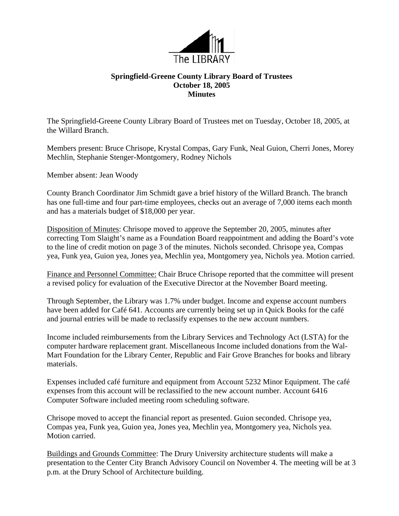

## **Springfield-Greene County Library Board of Trustees October 18, 2005 Minutes**

The Springfield-Greene County Library Board of Trustees met on Tuesday, October 18, 2005, at the Willard Branch.

Members present: Bruce Chrisope, Krystal Compas, Gary Funk, Neal Guion, Cherri Jones, Morey Mechlin, Stephanie Stenger-Montgomery, Rodney Nichols

Member absent: Jean Woody

County Branch Coordinator Jim Schmidt gave a brief history of the Willard Branch. The branch has one full-time and four part-time employees, checks out an average of 7,000 items each month and has a materials budget of \$18,000 per year.

Disposition of Minutes: Chrisope moved to approve the September 20, 2005, minutes after correcting Tom Slaight's name as a Foundation Board reappointment and adding the Board's vote to the line of credit motion on page 3 of the minutes. Nichols seconded. Chrisope yea, Compas yea, Funk yea, Guion yea, Jones yea, Mechlin yea, Montgomery yea, Nichols yea. Motion carried.

Finance and Personnel Committee: Chair Bruce Chrisope reported that the committee will present a revised policy for evaluation of the Executive Director at the November Board meeting.

Through September, the Library was 1.7% under budget. Income and expense account numbers have been added for Café 641. Accounts are currently being set up in Quick Books for the café and journal entries will be made to reclassify expenses to the new account numbers.

Income included reimbursements from the Library Services and Technology Act (LSTA) for the computer hardware replacement grant. Miscellaneous Income included donations from the Wal-Mart Foundation for the Library Center, Republic and Fair Grove Branches for books and library materials.

Expenses included café furniture and equipment from Account 5232 Minor Equipment. The café expenses from this account will be reclassified to the new account number. Account 6416 Computer Software included meeting room scheduling software.

Chrisope moved to accept the financial report as presented. Guion seconded. Chrisope yea, Compas yea, Funk yea, Guion yea, Jones yea, Mechlin yea, Montgomery yea, Nichols yea. Motion carried.

Buildings and Grounds Committee: The Drury University architecture students will make a presentation to the Center City Branch Advisory Council on November 4. The meeting will be at 3 p.m. at the Drury School of Architecture building.